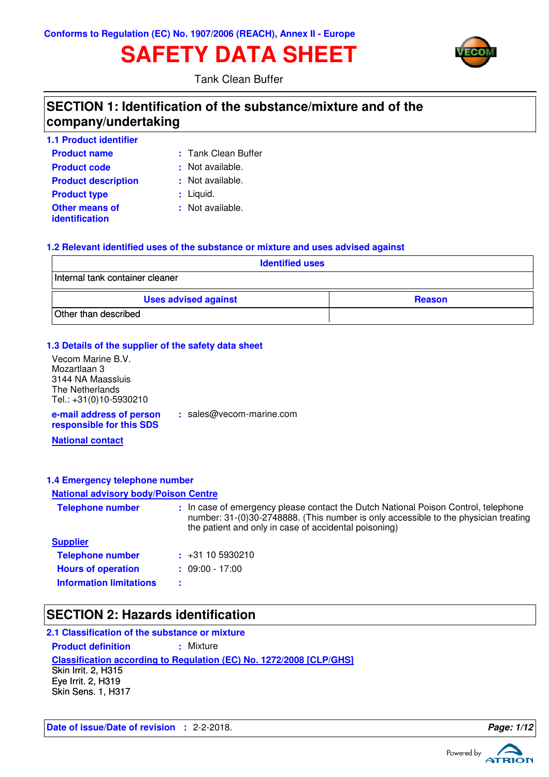# **SAFETY DATA SHEET**



Tank Clean Buffer

### **SECTION 1: Identification of the substance/mixture and of the company/undertaking**

| <b>1.1 Product identifier</b>                  |                     |
|------------------------------------------------|---------------------|
| <b>Product name</b>                            | : Tank Clean Buffer |
| <b>Product code</b>                            | : Not available.    |
| <b>Product description</b>                     | : Not available.    |
| <b>Product type</b>                            | $:$ Liquid.         |
| <b>Other means of</b><br><i>identification</i> | : Not available.    |

### **1.2 Relevant identified uses of the substance or mixture and uses advised against**

| <b>Identified uses</b>          |               |  |  |
|---------------------------------|---------------|--|--|
| Internal tank container cleaner |               |  |  |
| <b>Uses advised against</b>     | <b>Reason</b> |  |  |
| Other than described            |               |  |  |

### **1.3 Details of the supplier of the safety data sheet**

**e-mail address of person responsible for this SDS** Vecom Marine B.V. Mozartlaan 3 3144 NA Maassluis The Netherlands Tel.: +31(0)10-5930210

**:** sales@vecom-marine.com

**National contact**

### **1.4 Emergency telephone number**

#### **National advisory body/Poison Centre**

| <b>Telephone number</b>        | : In case of emergency please contact the Dutch National Poison Control, telephone<br>number: 31-(0)30-2748888. (This number is only accessible to the physician treating<br>the patient and only in case of accidental poisoning) |
|--------------------------------|------------------------------------------------------------------------------------------------------------------------------------------------------------------------------------------------------------------------------------|
| <b>Supplier</b>                |                                                                                                                                                                                                                                    |
| <b>Telephone number</b>        | $\div$ +31 10 5930210                                                                                                                                                                                                              |
| <b>Hours of operation</b>      | $: 09:00 - 17:00$                                                                                                                                                                                                                  |
| <b>Information limitations</b> |                                                                                                                                                                                                                                    |

### **SECTION 2: Hazards identification**

### **2.1 Classification of the substance or mixture**

**Product definition : Mixture** 

**Classification according to Regulation (EC) No. 1272/2008 [CLP/GHS]**

Skin Irrit. 2, H315 Eye Irrit. 2, H319 Skin Sens. 1, H317

**Date of issue/Date of revision :** 2-2-2018. **Page: 1/12**

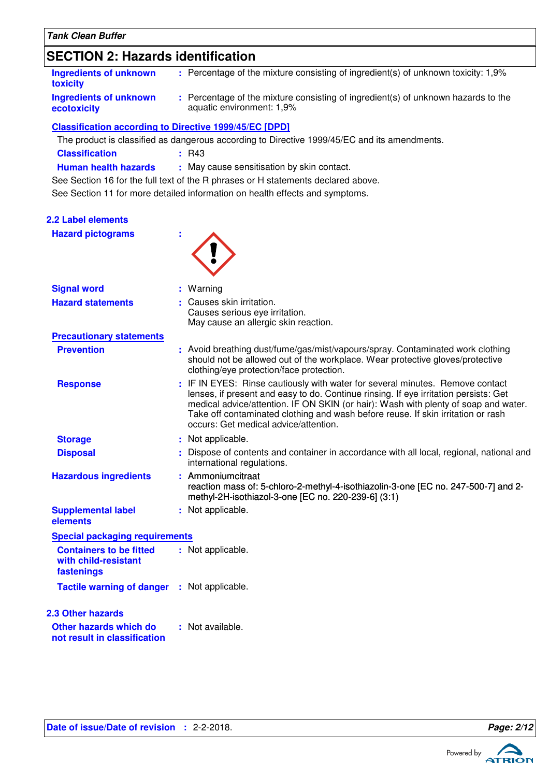# **SECTION 2: Hazards identification**

| Ingredients of unknown<br><b>toxicity</b> | : Percentage of the mixture consisting of ingredient(s) of unknown toxicity: 1,9%                              |
|-------------------------------------------|----------------------------------------------------------------------------------------------------------------|
| Ingredients of unknown<br>ecotoxicity     | : Percentage of the mixture consisting of ingredient(s) of unknown hazards to the<br>aquatic environment: 1,9% |

### **Classification according to Directive 1999/45/EC [DPD]**

The product is classified as dangerous according to Directive 1999/45/EC and its amendments.

| <b>Classification</b> | $\pm$ R43 |
|-----------------------|-----------|
|-----------------------|-----------|

**Human health hazards :** May cause sensitisation by skin contact.

See Section 11 for more detailed information on health effects and symptoms. See Section 16 for the full text of the R phrases or H statements declared above.

| <b>2.2 Label elements</b><br><b>Hazard pictograms</b>                |                                                                                                                                                                                                                                                                                                                                                                                           |
|----------------------------------------------------------------------|-------------------------------------------------------------------------------------------------------------------------------------------------------------------------------------------------------------------------------------------------------------------------------------------------------------------------------------------------------------------------------------------|
| <b>Signal word</b>                                                   | : Warning                                                                                                                                                                                                                                                                                                                                                                                 |
| <b>Hazard statements</b>                                             | : Causes skin irritation.<br>Causes serious eye irritation.<br>May cause an allergic skin reaction.                                                                                                                                                                                                                                                                                       |
| <b>Precautionary statements</b>                                      |                                                                                                                                                                                                                                                                                                                                                                                           |
| <b>Prevention</b>                                                    | : Avoid breathing dust/fume/gas/mist/vapours/spray. Contaminated work clothing<br>should not be allowed out of the workplace. Wear protective gloves/protective<br>clothing/eye protection/face protection.                                                                                                                                                                               |
| <b>Response</b>                                                      | : IF IN EYES: Rinse cautiously with water for several minutes. Remove contact<br>lenses, if present and easy to do. Continue rinsing. If eye irritation persists: Get<br>medical advice/attention. IF ON SKIN (or hair): Wash with plenty of soap and water.<br>Take off contaminated clothing and wash before reuse. If skin irritation or rash<br>occurs: Get medical advice/attention. |
| <b>Storage</b>                                                       | : Not applicable.                                                                                                                                                                                                                                                                                                                                                                         |
| <b>Disposal</b>                                                      | : Dispose of contents and container in accordance with all local, regional, national and<br>international regulations.                                                                                                                                                                                                                                                                    |
| <b>Hazardous ingredients</b>                                         | : Ammoniumcitraat<br>reaction mass of: 5-chloro-2-methyl-4-isothiazolin-3-one [EC no. 247-500-7] and 2-<br>methyl-2H-isothiazol-3-one [EC no. 220-239-6] (3:1)                                                                                                                                                                                                                            |
| <b>Supplemental label</b><br>elements                                | : Not applicable.                                                                                                                                                                                                                                                                                                                                                                         |
| <b>Special packaging requirements</b>                                |                                                                                                                                                                                                                                                                                                                                                                                           |
| <b>Containers to be fitted</b><br>with child-resistant<br>fastenings | : Not applicable.                                                                                                                                                                                                                                                                                                                                                                         |
| <b>Tactile warning of danger</b>                                     | : Not applicable.                                                                                                                                                                                                                                                                                                                                                                         |
| <b>2.3 Other hazards</b>                                             |                                                                                                                                                                                                                                                                                                                                                                                           |
| Other hazards which do<br>not result in classification               | : Not available.                                                                                                                                                                                                                                                                                                                                                                          |

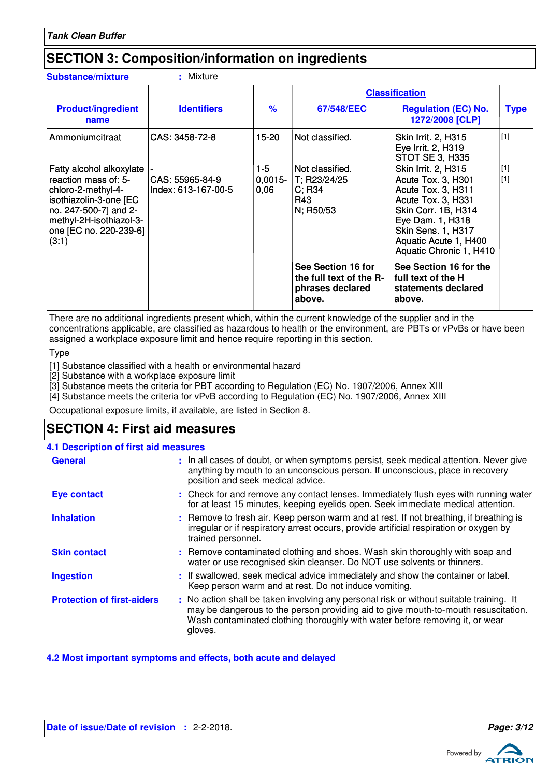## **SECTION 3: Composition/information on ingredients**

| <b>Substance/mixture</b>                                                                                                                                                                | : Mixture                              |                            |                                                                             |                                                                                                                                                                                                                   |                |
|-----------------------------------------------------------------------------------------------------------------------------------------------------------------------------------------|----------------------------------------|----------------------------|-----------------------------------------------------------------------------|-------------------------------------------------------------------------------------------------------------------------------------------------------------------------------------------------------------------|----------------|
|                                                                                                                                                                                         |                                        |                            |                                                                             | <b>Classification</b>                                                                                                                                                                                             |                |
| <b>Product/ingredient</b><br>name                                                                                                                                                       | <b>Identifiers</b>                     | $\frac{9}{6}$              | 67/548/EEC                                                                  | <b>Regulation (EC) No.</b><br>1272/2008 [CLP]                                                                                                                                                                     | <b>Type</b>    |
| Ammoniumcitraat                                                                                                                                                                         | CAS: 3458-72-8                         | $15 - 20$                  | Not classified.                                                             | Skin Irrit. 2, H315<br>Eye Irrit. 2, H319<br><b>STOT SE 3, H335</b>                                                                                                                                               | $[1]$          |
| Fatty alcohol alkoxylate<br>reaction mass of: 5-<br>chloro-2-methyl-4-<br>isothiazolin-3-one [EC<br>no. 247-500-7] and 2-<br>methyl-2H-isothiazol-3-<br>one [EC no. 220-239-6]<br>(3:1) | CAS: 55965-84-9<br>Index: 613-167-00-5 | $1-5$<br>$0,0015-$<br>0,06 | Not classified.<br>T; R23/24/25<br>$C$ ; R34<br>R43<br>N; R50/53            | <b>Skin Irrit. 2, H315</b><br>Acute Tox. 3, H301<br>Acute Tox. 3, H311<br>Acute Tox. 3, H331<br>Skin Corr. 1B, H314<br>Eye Dam. 1, H318<br>Skin Sens. 1, H317<br>Aquatic Acute 1, H400<br>Aquatic Chronic 1, H410 | $[1]$<br>$[1]$ |
|                                                                                                                                                                                         |                                        |                            | See Section 16 for<br>the full text of the R-<br>phrases declared<br>above. | See Section 16 for the<br>full text of the H<br>statements declared<br>above.                                                                                                                                     |                |

There are no additional ingredients present which, within the current knowledge of the supplier and in the concentrations applicable, are classified as hazardous to health or the environment, are PBTs or vPvBs or have been assigned a workplace exposure limit and hence require reporting in this section.

**Type** 

[1] Substance classified with a health or environmental hazard

[2] Substance with a workplace exposure limit

[3] Substance meets the criteria for PBT according to Regulation (EC) No. 1907/2006, Annex XIII

[4] Substance meets the criteria for vPvB according to Regulation (EC) No. 1907/2006, Annex XIII

Occupational exposure limits, if available, are listed in Section 8.

# **SECTION 4: First aid measures**

| <b>4.1 Description of first aid measures</b> |                                                                                                                                                                                                                                                                          |
|----------------------------------------------|--------------------------------------------------------------------------------------------------------------------------------------------------------------------------------------------------------------------------------------------------------------------------|
| <b>General</b>                               | : In all cases of doubt, or when symptoms persist, seek medical attention. Never give<br>anything by mouth to an unconscious person. If unconscious, place in recovery<br>position and seek medical advice.                                                              |
| <b>Eye contact</b>                           | : Check for and remove any contact lenses. Immediately flush eyes with running water<br>for at least 15 minutes, keeping eyelids open. Seek immediate medical attention.                                                                                                 |
| <b>Inhalation</b>                            | : Remove to fresh air. Keep person warm and at rest. If not breathing, if breathing is<br>irregular or if respiratory arrest occurs, provide artificial respiration or oxygen by<br>trained personnel.                                                                   |
| <b>Skin contact</b>                          | : Remove contaminated clothing and shoes. Wash skin thoroughly with soap and<br>water or use recognised skin cleanser. Do NOT use solvents or thinners.                                                                                                                  |
| <b>Ingestion</b>                             | : If swallowed, seek medical advice immediately and show the container or label.<br>Keep person warm and at rest. Do not induce vomiting.                                                                                                                                |
| <b>Protection of first-aiders</b>            | : No action shall be taken involving any personal risk or without suitable training. It<br>may be dangerous to the person providing aid to give mouth-to-mouth resuscitation.<br>Wash contaminated clothing thoroughly with water before removing it, or wear<br>gloves. |

**4.2 Most important symptoms and effects, both acute and delayed**

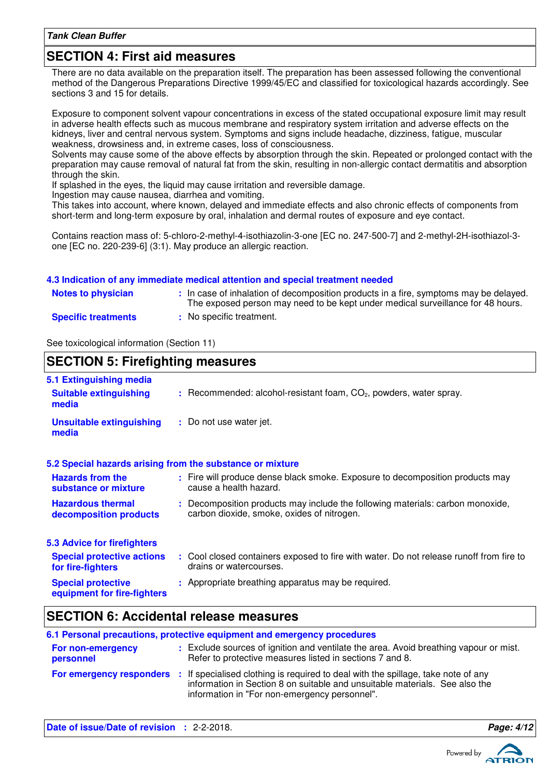### **SECTION 4: First aid measures**

There are no data available on the preparation itself. The preparation has been assessed following the conventional method of the Dangerous Preparations Directive 1999/45/EC and classified for toxicological hazards accordingly. See sections 3 and 15 for details.

Exposure to component solvent vapour concentrations in excess of the stated occupational exposure limit may result in adverse health effects such as mucous membrane and respiratory system irritation and adverse effects on the kidneys, liver and central nervous system. Symptoms and signs include headache, dizziness, fatigue, muscular weakness, drowsiness and, in extreme cases, loss of consciousness.

Solvents may cause some of the above effects by absorption through the skin. Repeated or prolonged contact with the preparation may cause removal of natural fat from the skin, resulting in non-allergic contact dermatitis and absorption through the skin.

If splashed in the eyes, the liquid may cause irritation and reversible damage.

Ingestion may cause nausea, diarrhea and vomiting.

This takes into account, where known, delayed and immediate effects and also chronic effects of components from short-term and long-term exposure by oral, inhalation and dermal routes of exposure and eye contact.

Contains reaction mass of: 5-chloro-2-methyl-4-isothiazolin-3-one [EC no. 247-500-7] and 2-methyl-2H-isothiazol-3 one [EC no. 220-239-6] (3:1). May produce an allergic reaction.

#### **4.3 Indication of any immediate medical attention and special treatment needed**

| <b>Notes to physician</b>  | In case of inhalation of decomposition products in a fire, symptoms may be delayed.<br>The exposed person may need to be kept under medical surveillance for 48 hours. |
|----------------------------|------------------------------------------------------------------------------------------------------------------------------------------------------------------------|
| <b>Specific treatments</b> | No specific treatment.                                                                                                                                                 |

See toxicological information (Section 11)

### **SECTION 5: Firefighting measures**

| 5.1 Extinguishing media<br><b>Suitable extinguishing</b><br>media | $:$ Recommended: alcohol-resistant foam, $CO2$ , powders, water spray.                                                       |
|-------------------------------------------------------------------|------------------------------------------------------------------------------------------------------------------------------|
| <b>Unsuitable extinguishing</b><br>media                          | : Do not use water jet.                                                                                                      |
| 5.2 Special hazards arising from the substance or mixture         |                                                                                                                              |
| <b>Hazards from the</b><br>substance or mixture                   | : Fire will produce dense black smoke. Exposure to decomposition products may<br>cause a health hazard.                      |
| <b>Hazardous thermal</b><br>decomposition products                | : Decomposition products may include the following materials: carbon monoxide,<br>carbon dioxide, smoke, oxides of nitrogen. |
| 5.3 Advice for firefighters                                       |                                                                                                                              |
| <b>Special protective actions</b><br>for fire-fighters            | : Cool closed containers exposed to fire with water. Do not release runoff from fire to<br>drains or watercourses.           |
| <b>Special protective</b><br>equipment for fire-fighters          | : Appropriate breathing apparatus may be required.                                                                           |

### **SECTION 6: Accidental release measures**

| 6.1 Personal precautions, protective equipment and emergency procedures |  |                                                                                                                                                                                                                                            |
|-------------------------------------------------------------------------|--|--------------------------------------------------------------------------------------------------------------------------------------------------------------------------------------------------------------------------------------------|
| For non-emergency<br>personnel                                          |  | : Exclude sources of ignition and ventilate the area. Avoid breathing vapour or mist.<br>Refer to protective measures listed in sections 7 and 8.                                                                                          |
|                                                                         |  | For emergency responders : If specialised clothing is required to deal with the spillage, take note of any<br>information in Section 8 on suitable and unsuitable materials. See also the<br>information in "For non-emergency personnel". |

**Date of issue/Date of revision :** 2-2-2018. **Page: 4/12 Page: 4/12** 

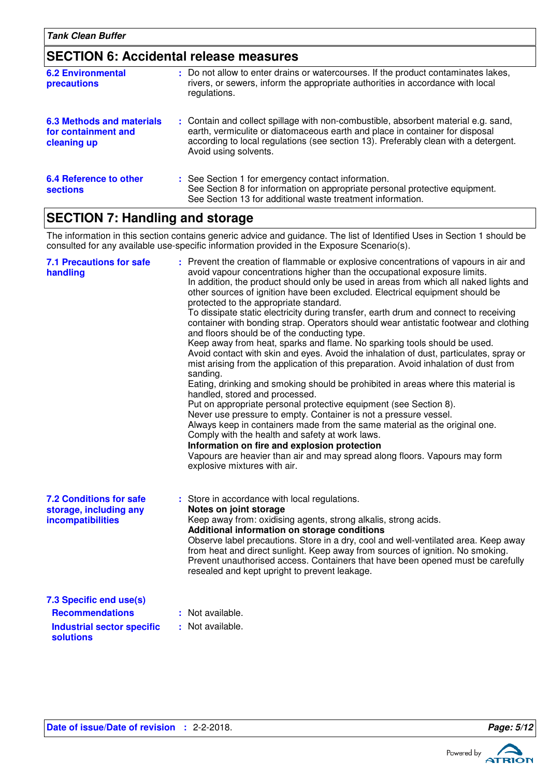### **SECTION 6: Accidental release measures**

| <b>6.2 Environmental</b><br>precautions                         | : Do not allow to enter drains or watercourses. If the product contaminates lakes,<br>rivers, or sewers, inform the appropriate authorities in accordance with local<br>regulations.                                                                                               |
|-----------------------------------------------------------------|------------------------------------------------------------------------------------------------------------------------------------------------------------------------------------------------------------------------------------------------------------------------------------|
| 6.3 Methods and materials<br>for containment and<br>cleaning up | : Contain and collect spillage with non-combustible, absorbent material e.g. sand,<br>earth, vermiculite or diatomaceous earth and place in container for disposal<br>according to local regulations (see section 13). Preferably clean with a detergent.<br>Avoid using solvents. |
| 6.4 Reference to other<br><b>sections</b>                       | : See Section 1 for emergency contact information.<br>See Section 8 for information on appropriate personal protective equipment.<br>See Section 13 for additional waste treatment information.                                                                                    |

# **SECTION 7: Handling and storage**

The information in this section contains generic advice and guidance. The list of Identified Uses in Section 1 should be consulted for any available use-specific information provided in the Exposure Scenario(s).

| <b>7.1 Precautions for safe</b><br>handling                                   | : Prevent the creation of flammable or explosive concentrations of vapours in air and<br>avoid vapour concentrations higher than the occupational exposure limits.<br>In addition, the product should only be used in areas from which all naked lights and<br>other sources of ignition have been excluded. Electrical equipment should be<br>protected to the appropriate standard.<br>To dissipate static electricity during transfer, earth drum and connect to receiving<br>container with bonding strap. Operators should wear antistatic footwear and clothing<br>and floors should be of the conducting type.<br>Keep away from heat, sparks and flame. No sparking tools should be used.<br>Avoid contact with skin and eyes. Avoid the inhalation of dust, particulates, spray or<br>mist arising from the application of this preparation. Avoid inhalation of dust from<br>sanding.<br>Eating, drinking and smoking should be prohibited in areas where this material is<br>handled, stored and processed.<br>Put on appropriate personal protective equipment (see Section 8).<br>Never use pressure to empty. Container is not a pressure vessel.<br>Always keep in containers made from the same material as the original one.<br>Comply with the health and safety at work laws.<br>Information on fire and explosion protection<br>Vapours are heavier than air and may spread along floors. Vapours may form<br>explosive mixtures with air. |
|-------------------------------------------------------------------------------|----------------------------------------------------------------------------------------------------------------------------------------------------------------------------------------------------------------------------------------------------------------------------------------------------------------------------------------------------------------------------------------------------------------------------------------------------------------------------------------------------------------------------------------------------------------------------------------------------------------------------------------------------------------------------------------------------------------------------------------------------------------------------------------------------------------------------------------------------------------------------------------------------------------------------------------------------------------------------------------------------------------------------------------------------------------------------------------------------------------------------------------------------------------------------------------------------------------------------------------------------------------------------------------------------------------------------------------------------------------------------------------------------------------------------------------------------------------|
| <b>7.2 Conditions for safe</b><br>storage, including any<br>incompatibilities | : Store in accordance with local regulations.<br>Notes on joint storage<br>Keep away from: oxidising agents, strong alkalis, strong acids.<br>Additional information on storage conditions<br>Observe label precautions. Store in a dry, cool and well-ventilated area. Keep away<br>from heat and direct sunlight. Keep away from sources of ignition. No smoking.<br>Prevent unauthorised access. Containers that have been opened must be carefully<br>resealed and kept upright to prevent leakage.                                                                                                                                                                                                                                                                                                                                                                                                                                                                                                                                                                                                                                                                                                                                                                                                                                                                                                                                                        |
| 7.3 Specific end use(s)                                                       |                                                                                                                                                                                                                                                                                                                                                                                                                                                                                                                                                                                                                                                                                                                                                                                                                                                                                                                                                                                                                                                                                                                                                                                                                                                                                                                                                                                                                                                                |
| <b>Recommendations</b>                                                        | : Not available.                                                                                                                                                                                                                                                                                                                                                                                                                                                                                                                                                                                                                                                                                                                                                                                                                                                                                                                                                                                                                                                                                                                                                                                                                                                                                                                                                                                                                                               |
| <b>Industrial sector specific</b><br><b>solutions</b>                         | : Not available.                                                                                                                                                                                                                                                                                                                                                                                                                                                                                                                                                                                                                                                                                                                                                                                                                                                                                                                                                                                                                                                                                                                                                                                                                                                                                                                                                                                                                                               |

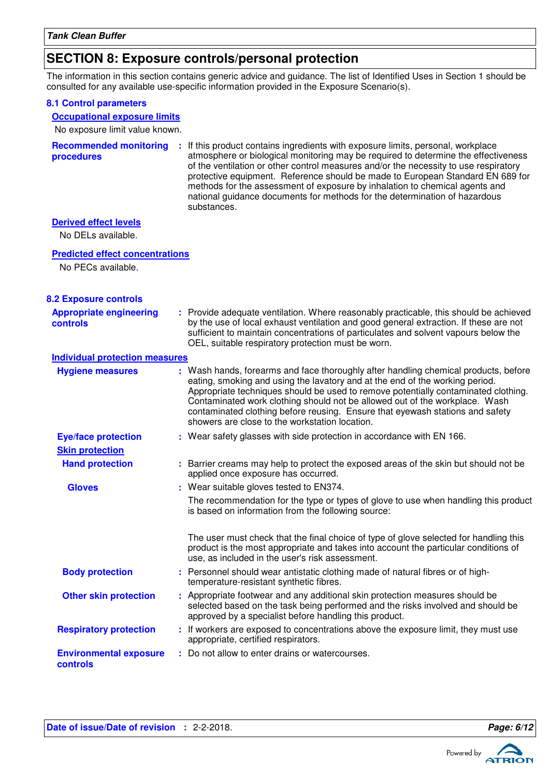### **SECTION 8: Exposure controls/personal protection**

The information in this section contains generic advice and guidance. The list of Identified Uses in Section 1 should be consulted for any available use-specific information provided in the Exposure Scenario(s).

#### **8.1 Control parameters**

#### **Occupational exposure limits**

No exposure limit value known.

|            | <b>Recommended monitoring</b> : If this product contains ingredients with exposure limits, personal, workplace |
|------------|----------------------------------------------------------------------------------------------------------------|
| procedures | atmosphere or biological monitoring may be required to determine the effectiveness                             |
|            | of the ventilation or other control measures and/or the necessity to use respiratory                           |
|            | protective equipment. Reference should be made to European Standard EN 689 for                                 |
|            | methods for the assessment of exposure by inhalation to chemical agents and                                    |
|            | national guidance documents for methods for the determination of hazardous                                     |
|            | substances.                                                                                                    |

### **Derived effect levels**

No DELs available.

#### **Predicted effect concentrations**

No PECs available.

### **8.2 Exposure controls**

| <b>Appropriate engineering</b><br><b>controls</b> | : Provide adequate ventilation. Where reasonably practicable, this should be achieved<br>by the use of local exhaust ventilation and good general extraction. If these are not<br>sufficient to maintain concentrations of particulates and solvent vapours below the<br>OEL, suitable respiratory protection must be worn.                                                                                                                                                 |
|---------------------------------------------------|-----------------------------------------------------------------------------------------------------------------------------------------------------------------------------------------------------------------------------------------------------------------------------------------------------------------------------------------------------------------------------------------------------------------------------------------------------------------------------|
| <b>Individual protection measures</b>             |                                                                                                                                                                                                                                                                                                                                                                                                                                                                             |
| <b>Hygiene measures</b>                           | : Wash hands, forearms and face thoroughly after handling chemical products, before<br>eating, smoking and using the lavatory and at the end of the working period.<br>Appropriate techniques should be used to remove potentially contaminated clothing.<br>Contaminated work clothing should not be allowed out of the workplace. Wash<br>contaminated clothing before reusing. Ensure that eyewash stations and safety<br>showers are close to the workstation location. |
| <b>Eye/face protection</b>                        | : Wear safety glasses with side protection in accordance with EN 166.                                                                                                                                                                                                                                                                                                                                                                                                       |
| <b>Skin protection</b>                            |                                                                                                                                                                                                                                                                                                                                                                                                                                                                             |
| <b>Hand protection</b>                            | : Barrier creams may help to protect the exposed areas of the skin but should not be<br>applied once exposure has occurred.                                                                                                                                                                                                                                                                                                                                                 |
| <b>Gloves</b>                                     | : Wear suitable gloves tested to EN374.                                                                                                                                                                                                                                                                                                                                                                                                                                     |
|                                                   | The recommendation for the type or types of glove to use when handling this product<br>is based on information from the following source:                                                                                                                                                                                                                                                                                                                                   |
|                                                   | The user must check that the final choice of type of glove selected for handling this<br>product is the most appropriate and takes into account the particular conditions of<br>use, as included in the user's risk assessment.                                                                                                                                                                                                                                             |
| <b>Body protection</b>                            | : Personnel should wear antistatic clothing made of natural fibres or of high-<br>temperature-resistant synthetic fibres.                                                                                                                                                                                                                                                                                                                                                   |
| <b>Other skin protection</b>                      | : Appropriate footwear and any additional skin protection measures should be<br>selected based on the task being performed and the risks involved and should be<br>approved by a specialist before handling this product.                                                                                                                                                                                                                                                   |
| <b>Respiratory protection</b>                     | : If workers are exposed to concentrations above the exposure limit, they must use<br>appropriate, certified respirators.                                                                                                                                                                                                                                                                                                                                                   |
| <b>Environmental exposure</b><br>controls         | : Do not allow to enter drains or watercourses.                                                                                                                                                                                                                                                                                                                                                                                                                             |

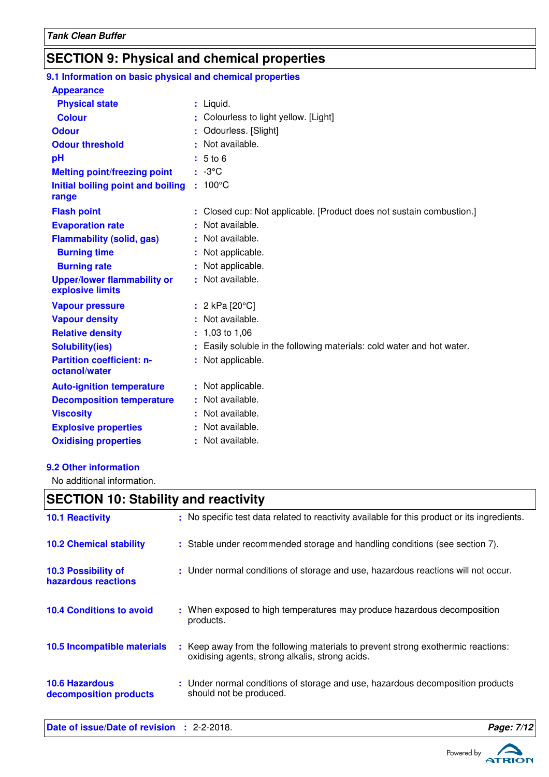# **SECTION 9: Physical and chemical properties**

| 9.1 Information on basic physical and chemical properties |                                                                      |
|-----------------------------------------------------------|----------------------------------------------------------------------|
| <b>Appearance</b>                                         |                                                                      |
| <b>Physical state</b>                                     | : Liquid.                                                            |
| <b>Colour</b>                                             | Colourless to light yellow. [Light]                                  |
| <b>Odour</b>                                              | Odourless. [Slight]                                                  |
| <b>Odour threshold</b>                                    | Not available.                                                       |
| pH                                                        | 5 to 6                                                               |
| <b>Melting point/freezing point</b>                       | $: -3^{\circ}C$                                                      |
| Initial boiling point and boiling                         | $: 100^{\circ}$ C                                                    |
| range                                                     |                                                                      |
| <b>Flash point</b>                                        | Closed cup: Not applicable. [Product does not sustain combustion.]   |
| <b>Evaporation rate</b>                                   | Not available.                                                       |
| <b>Flammability (solid, gas)</b>                          | Not available.                                                       |
| <b>Burning time</b>                                       | Not applicable.                                                      |
| <b>Burning rate</b>                                       | Not applicable.                                                      |
| <b>Upper/lower flammability or</b><br>explosive limits    | : Not available.                                                     |
| <b>Vapour pressure</b>                                    | : $2 kPa$ [20 $°C$ ]                                                 |
| <b>Vapour density</b>                                     | Not available.                                                       |
| <b>Relative density</b>                                   | 1,03 to 1,06                                                         |
| <b>Solubility(ies)</b>                                    | Easily soluble in the following materials: cold water and hot water. |
| <b>Partition coefficient: n-</b><br>octanol/water         | Not applicable.                                                      |
| <b>Auto-ignition temperature</b>                          | : Not applicable.                                                    |
| <b>Decomposition temperature</b>                          | Not available.                                                       |
| <b>Viscosity</b>                                          | Not available.                                                       |
| <b>Explosive properties</b>                               | Not available.                                                       |
| <b>Oxidising properties</b>                               | : Not available.                                                     |
|                                                           |                                                                      |

### **9.2 Other information**

No additional information.

### **SECTION 10: Stability and reactivity**

| Date of issue/Date of revision : 2-2-2018.      |                                                                                                                                     | Page: 7/12 |
|-------------------------------------------------|-------------------------------------------------------------------------------------------------------------------------------------|------------|
| <b>10.6 Hazardous</b><br>decomposition products | : Under normal conditions of storage and use, hazardous decomposition products<br>should not be produced.                           |            |
| 10.5 Incompatible materials                     | : Keep away from the following materials to prevent strong exothermic reactions:<br>oxidising agents, strong alkalis, strong acids. |            |
| <b>10.4 Conditions to avoid</b>                 | : When exposed to high temperatures may produce hazardous decomposition<br>products.                                                |            |
| 10.3 Possibility of<br>hazardous reactions      | : Under normal conditions of storage and use, hazardous reactions will not occur.                                                   |            |
| <b>10.2 Chemical stability</b>                  | : Stable under recommended storage and handling conditions (see section 7).                                                         |            |
| <b>10.1 Reactivity</b>                          | : No specific test data related to reactivity available for this product or its ingredients.                                        |            |

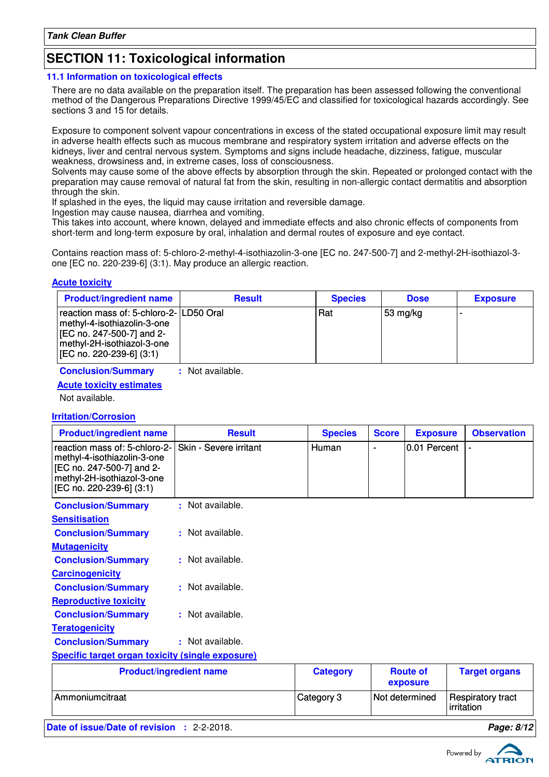### **SECTION 11: Toxicological information**

#### **11.1 Information on toxicological effects**

There are no data available on the preparation itself. The preparation has been assessed following the conventional method of the Dangerous Preparations Directive 1999/45/EC and classified for toxicological hazards accordingly. See sections 3 and 15 for details.

Exposure to component solvent vapour concentrations in excess of the stated occupational exposure limit may result in adverse health effects such as mucous membrane and respiratory system irritation and adverse effects on the kidneys, liver and central nervous system. Symptoms and signs include headache, dizziness, fatigue, muscular weakness, drowsiness and, in extreme cases, loss of consciousness.

Solvents may cause some of the above effects by absorption through the skin. Repeated or prolonged contact with the preparation may cause removal of natural fat from the skin, resulting in non-allergic contact dermatitis and absorption through the skin.

If splashed in the eyes, the liquid may cause irritation and reversible damage.

Ingestion may cause nausea, diarrhea and vomiting.

This takes into account, where known, delayed and immediate effects and also chronic effects of components from short-term and long-term exposure by oral, inhalation and dermal routes of exposure and eye contact.

Contains reaction mass of: 5-chloro-2-methyl-4-isothiazolin-3-one [EC no. 247-500-7] and 2-methyl-2H-isothiazol-3 one [EC no. 220-239-6] (3:1). May produce an allergic reaction.

### **Acute toxicity**

| <b>Product/ingredient name</b>                                                                                                                                  | <b>Result</b> | <b>Species</b> | <b>Dose</b> | <b>Exposure</b> |
|-----------------------------------------------------------------------------------------------------------------------------------------------------------------|---------------|----------------|-------------|-----------------|
| reaction mass of: 5-chloro-2- LD50 Oral<br>methyl-4-isothiazolin-3-one  <br>[EC no. 247-500-7] and 2-<br>methyl-2H-isothiazol-3-one<br>[EC no. 220-239-6] (3:1) |               | Rat            | 53 mg/kg    |                 |

**Conclusion/Summary :** Not available.

### **Acute toxicity estimates**

Not available.

### **Irritation/Corrosion**

| <b>Product/ingredient name</b>                                                                                                                      | <b>Result</b>                  | <b>Species</b>  | <b>Score</b> | <b>Exposure</b>             | <b>Observation</b>              |
|-----------------------------------------------------------------------------------------------------------------------------------------------------|--------------------------------|-----------------|--------------|-----------------------------|---------------------------------|
| reaction mass of: 5-chloro-2-<br>methyl-4-isothiazolin-3-one<br>[EC no. 247-500-7] and 2-<br>methyl-2H-isothiazol-3-one<br>[EC no. 220-239-6] (3:1) | Skin - Severe irritant         | Human           |              | 0.01 Percent                |                                 |
| <b>Conclusion/Summary</b>                                                                                                                           | : Not available.               |                 |              |                             |                                 |
| <b>Sensitisation</b>                                                                                                                                |                                |                 |              |                             |                                 |
| <b>Conclusion/Summary</b>                                                                                                                           | : Not available.               |                 |              |                             |                                 |
| <b>Mutagenicity</b>                                                                                                                                 |                                |                 |              |                             |                                 |
| <b>Conclusion/Summary</b>                                                                                                                           | : Not available.               |                 |              |                             |                                 |
| <b>Carcinogenicity</b>                                                                                                                              |                                |                 |              |                             |                                 |
| <b>Conclusion/Summary</b>                                                                                                                           | : Not available.               |                 |              |                             |                                 |
| <b>Reproductive toxicity</b>                                                                                                                        |                                |                 |              |                             |                                 |
| <b>Conclusion/Summary</b>                                                                                                                           | : Not available.               |                 |              |                             |                                 |
| <b>Teratogenicity</b>                                                                                                                               |                                |                 |              |                             |                                 |
| <b>Conclusion/Summary</b>                                                                                                                           | : Not available.               |                 |              |                             |                                 |
| <b>Specific target organ toxicity (single exposure)</b>                                                                                             |                                |                 |              |                             |                                 |
|                                                                                                                                                     | <b>Product/ingredient name</b> | <b>Category</b> |              | <b>Route of</b><br>exposure | <b>Target organs</b>            |
| Ammoniumcitraat                                                                                                                                     |                                | Category 3      |              | Not determined              | Respiratory tract<br>irritation |

**Date of issue/Date of revision :** 2-2-2018. **Page: 8/12**

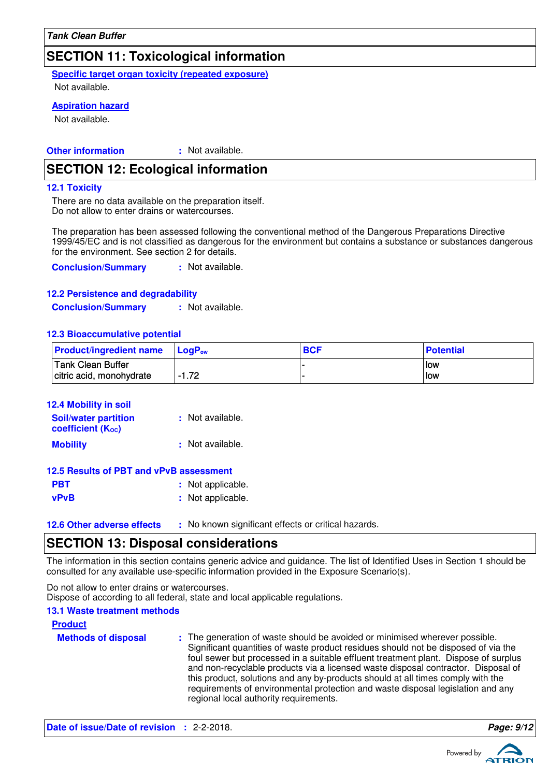### **SECTION 11: Toxicological information**

**Specific target organ toxicity (repeated exposure)**

Not available.

### **Aspiration hazard**

Not available.

#### **Other information :** : Not available.

### **SECTION 12: Ecological information**

#### **12.1 Toxicity**

There are no data available on the preparation itself. Do not allow to enter drains or watercourses.

The preparation has been assessed following the conventional method of the Dangerous Preparations Directive 1999/45/EC and is not classified as dangerous for the environment but contains a substance or substances dangerous for the environment. See section 2 for details.

**Conclusion/Summary :** Not available.

### **12.2 Persistence and degradability**

**Conclusion/Summary :** Not available.

#### **12.3 Bioaccumulative potential**

| <b>Product/ingredient name</b> | <b>LogP</b> <sub>ow</sub> | <b>BCF</b> | <b>Potential</b> |
|--------------------------------|---------------------------|------------|------------------|
| Tank Clean Buffer              |                           |            | l low            |
| citric acid, monohydrate       | $-1.72$                   |            | low              |

| 12.4 Mobility in soil                            |                   |
|--------------------------------------------------|-------------------|
| <b>Soil/water partition</b><br>coefficient (Koc) | : Not available.  |
| <b>Mobility</b>                                  | : Not available.  |
| 12.5 Results of PBT and vPvB assessment          |                   |
| PBT                                              | : Not applicable. |

**vPvB** : Not applicable.

**12.6 Other adverse effects** : No known significant effects or critical hazards.

### **SECTION 13: Disposal considerations**

The information in this section contains generic advice and guidance. The list of Identified Uses in Section 1 should be consulted for any available use-specific information provided in the Exposure Scenario(s).

Do not allow to enter drains or watercourses. Dispose of according to all federal, state and local applicable regulations.

#### **13.1 Waste treatment methods**

#### **Product**

**Methods of disposal :** The generation of waste should be avoided or minimised wherever possible. Significant quantities of waste product residues should not be disposed of via the foul sewer but processed in a suitable effluent treatment plant. Dispose of surplus and non-recyclable products via a licensed waste disposal contractor. Disposal of this product, solutions and any by-products should at all times comply with the requirements of environmental protection and waste disposal legislation and any regional local authority requirements.





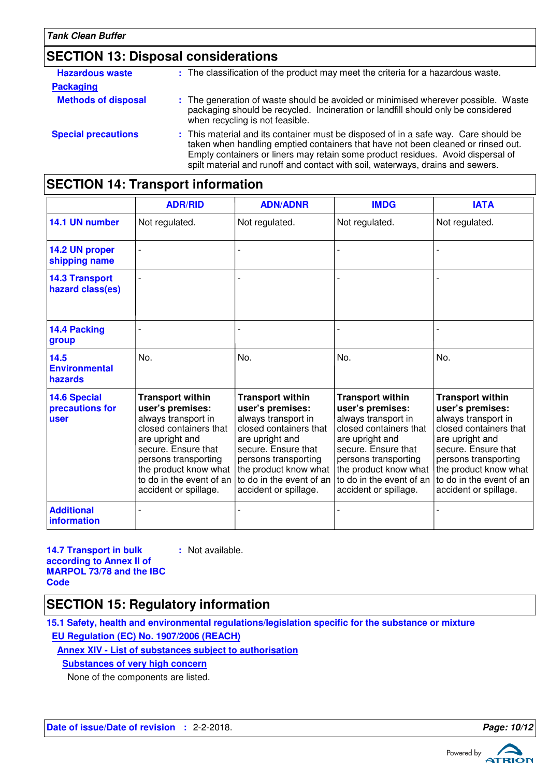# **SECTION 13: Disposal considerations**

| <b>Hazardous waste</b>     | : The classification of the product may meet the criteria for a hazardous waste.                                                                                                                                                                                                                                                             |
|----------------------------|----------------------------------------------------------------------------------------------------------------------------------------------------------------------------------------------------------------------------------------------------------------------------------------------------------------------------------------------|
| <b>Packaging</b>           |                                                                                                                                                                                                                                                                                                                                              |
| <b>Methods of disposal</b> | : The generation of waste should be avoided or minimised wherever possible. Waste<br>packaging should be recycled. Incineration or landfill should only be considered<br>when recycling is not feasible.                                                                                                                                     |
| <b>Special precautions</b> | : This material and its container must be disposed of in a safe way. Care should be<br>taken when handling emptied containers that have not been cleaned or rinsed out.<br>Empty containers or liners may retain some product residues. Avoid dispersal of<br>spilt material and runoff and contact with soil, waterways, drains and sewers. |

|                                                | <b>ADR/RID</b>                                                                                                                                                                                                   | <b>ADN/ADNR</b>                                                                                                                                                                                                                                                               | <b>IMDG</b>                                                                                                                                                                                                                                  | <b>IATA</b>                                                                                                                                                                                                                                  |
|------------------------------------------------|------------------------------------------------------------------------------------------------------------------------------------------------------------------------------------------------------------------|-------------------------------------------------------------------------------------------------------------------------------------------------------------------------------------------------------------------------------------------------------------------------------|----------------------------------------------------------------------------------------------------------------------------------------------------------------------------------------------------------------------------------------------|----------------------------------------------------------------------------------------------------------------------------------------------------------------------------------------------------------------------------------------------|
| 14.1 UN number                                 | Not regulated.                                                                                                                                                                                                   | Not regulated.                                                                                                                                                                                                                                                                | Not regulated.                                                                                                                                                                                                                               | Not regulated.                                                                                                                                                                                                                               |
| 14.2 UN proper<br>shipping name                |                                                                                                                                                                                                                  |                                                                                                                                                                                                                                                                               |                                                                                                                                                                                                                                              |                                                                                                                                                                                                                                              |
| <b>14.3 Transport</b><br>hazard class(es)      |                                                                                                                                                                                                                  |                                                                                                                                                                                                                                                                               |                                                                                                                                                                                                                                              |                                                                                                                                                                                                                                              |
| 14.4 Packing<br>group                          |                                                                                                                                                                                                                  |                                                                                                                                                                                                                                                                               |                                                                                                                                                                                                                                              |                                                                                                                                                                                                                                              |
| 14.5<br><b>Environmental</b><br>hazards        | No.                                                                                                                                                                                                              | No.                                                                                                                                                                                                                                                                           | No.                                                                                                                                                                                                                                          | No.                                                                                                                                                                                                                                          |
| <b>14.6 Special</b><br>precautions for<br>user | <b>Transport within</b><br>user's premises:<br>always transport in<br>closed containers that<br>are upright and<br>secure. Ensure that<br>persons transporting<br>the product know what<br>accident or spillage. | <b>Transport within</b><br>user's premises:<br>always transport in<br>closed containers that<br>are upright and<br>secure. Ensure that<br>persons transporting<br>the product know what<br>to do in the event of an $\vert$ to do in the event of an<br>accident or spillage. | <b>Transport within</b><br>user's premises:<br>always transport in<br>closed containers that<br>are upright and<br>secure. Ensure that<br>persons transporting<br>the product know what<br>to do in the event of an<br>accident or spillage. | <b>Transport within</b><br>user's premises:<br>always transport in<br>closed containers that<br>are upright and<br>secure. Ensure that<br>persons transporting<br>the product know what<br>to do in the event of an<br>accident or spillage. |
| <b>Additional</b><br>information               |                                                                                                                                                                                                                  |                                                                                                                                                                                                                                                                               |                                                                                                                                                                                                                                              |                                                                                                                                                                                                                                              |

# **SECTION 14: Transport information**

**14.7 Transport in bulk according to Annex II of MARPOL 73/78 and the IBC Code :** Not available.

### **SECTION 15: Regulatory information**

**15.1 Safety, health and environmental regulations/legislation specific for the substance or mixture EU Regulation (EC) No. 1907/2006 (REACH)**

**Annex XIV - List of substances subject to authorisation**

**Substances of very high concern**

None of the components are listed.

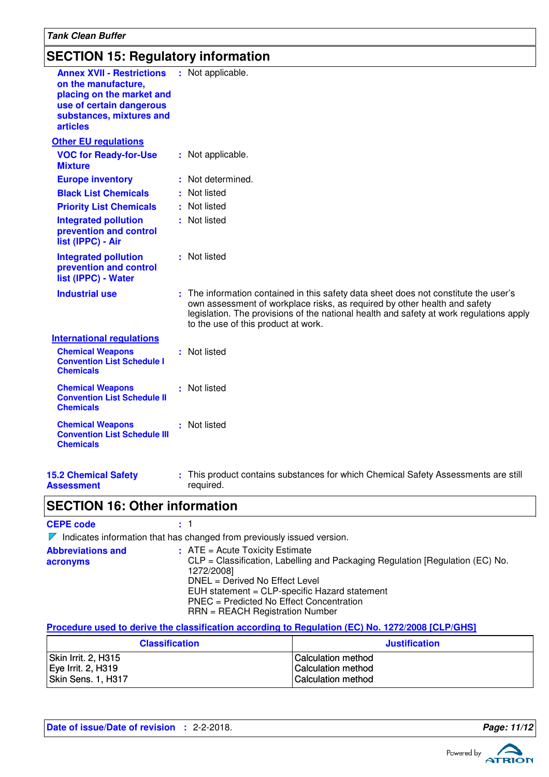### **SECTION 15: Regulatory information**

| <b>Annex XVII - Restrictions</b><br>on the manufacture,<br>placing on the market and<br>use of certain dangerous<br>substances, mixtures and<br><b>articles</b> | : Not applicable.                                                                                                                                                                                                                                                                                   |
|-----------------------------------------------------------------------------------------------------------------------------------------------------------------|-----------------------------------------------------------------------------------------------------------------------------------------------------------------------------------------------------------------------------------------------------------------------------------------------------|
| <b>Other EU regulations</b>                                                                                                                                     |                                                                                                                                                                                                                                                                                                     |
| <b>VOC for Ready-for-Use</b><br><b>Mixture</b>                                                                                                                  | : Not applicable.                                                                                                                                                                                                                                                                                   |
| <b>Europe inventory</b>                                                                                                                                         | : Not determined.                                                                                                                                                                                                                                                                                   |
| <b>Black List Chemicals</b>                                                                                                                                     | : Not listed                                                                                                                                                                                                                                                                                        |
| <b>Priority List Chemicals</b>                                                                                                                                  | : Not listed                                                                                                                                                                                                                                                                                        |
| <b>Integrated pollution</b><br>prevention and control<br>list (IPPC) - Air                                                                                      | : Not listed                                                                                                                                                                                                                                                                                        |
| <b>Integrated pollution</b><br>prevention and control<br>list (IPPC) - Water                                                                                    | : Not listed                                                                                                                                                                                                                                                                                        |
| <b>Industrial use</b>                                                                                                                                           | : The information contained in this safety data sheet does not constitute the user's<br>own assessment of workplace risks, as required by other health and safety<br>legislation. The provisions of the national health and safety at work regulations apply<br>to the use of this product at work. |
| <b>International regulations</b>                                                                                                                                |                                                                                                                                                                                                                                                                                                     |
| <b>Chemical Weapons</b><br><b>Convention List Schedule I</b><br><b>Chemicals</b>                                                                                | : Not listed                                                                                                                                                                                                                                                                                        |
| <b>Chemical Weapons</b><br><b>Convention List Schedule II</b><br><b>Chemicals</b>                                                                               | : Not listed                                                                                                                                                                                                                                                                                        |
| <b>Chemical Weapons</b><br><b>Convention List Schedule III</b><br><b>Chemicals</b>                                                                              | : Not listed                                                                                                                                                                                                                                                                                        |
|                                                                                                                                                                 |                                                                                                                                                                                                                                                                                                     |

**15.2 Chemical Safety Assessment**

This product contains substances for which Chemical Safety Assessments are still **:** required.

### **SECTION 16: Other information**

### **CEPE code :** 1

 $\nabla$  Indicates information that has changed from previously issued version.

| $\therefore$ ATE = Acute Toxicity Estimate                                    |
|-------------------------------------------------------------------------------|
| CLP = Classification, Labelling and Packaging Regulation [Regulation (EC) No. |
| 1272/2008]                                                                    |
| DNEL = Derived No Effect Level                                                |
| EUH statement = CLP-specific Hazard statement                                 |
| PNEC = Predicted No Effect Concentration                                      |
| $RRN = REACH$ Registration Number                                             |
|                                                                               |

#### **Procedure used to derive the classification according to Regulation (EC) No. 1272/2008 [CLP/GHS]**

| <b>Classification</b> | <b>Justification</b>      |
|-----------------------|---------------------------|
| Skin Irrit. 2, H315   | <b>Calculation method</b> |
| Eye Irrit. 2, H319    | <b>Calculation method</b> |
| Skin Sens. 1, H317    | <b>Calculation method</b> |